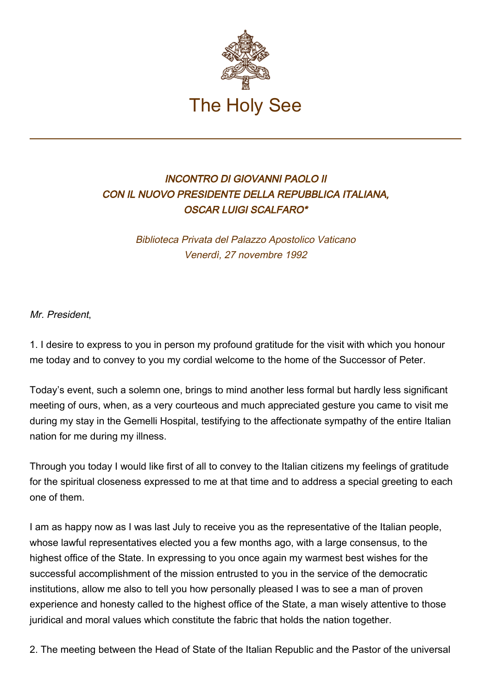

## INCONTRO DI GIOVANNI PAOLO II CON IL NUOVO PRESIDENTE DELLA REPUBBLICA ITALIANA, OSCAR LUIGI SCALFARO\*

Biblioteca Privata del Palazzo Apostolico Vaticano Venerdì, 27 novembre 1992

Mr. President,

1. I desire to express to you in person my profound gratitude for the visit with which you honour me today and to convey to you my cordial welcome to the home of the Successor of Peter.

Today's event, such a solemn one, brings to mind another less formal but hardly less significant meeting of ours, when, as a very courteous and much appreciated gesture you came to visit me during my stay in the Gemelli Hospital, testifying to the affectionate sympathy of the entire Italian nation for me during my illness.

Through you today I would like first of all to convey to the Italian citizens my feelings of gratitude for the spiritual closeness expressed to me at that time and to address a special greeting to each one of them.

I am as happy now as I was last July to receive you as the representative of the Italian people, whose lawful representatives elected you a few months ago, with a large consensus, to the highest office of the State. In expressing to you once again my warmest best wishes for the successful accomplishment of the mission entrusted to you in the service of the democratic institutions, allow me also to tell you how personally pleased I was to see a man of proven experience and honesty called to the highest office of the State, a man wisely attentive to those juridical and moral values which constitute the fabric that holds the nation together.

2. The meeting between the Head of State of the Italian Republic and the Pastor of the universal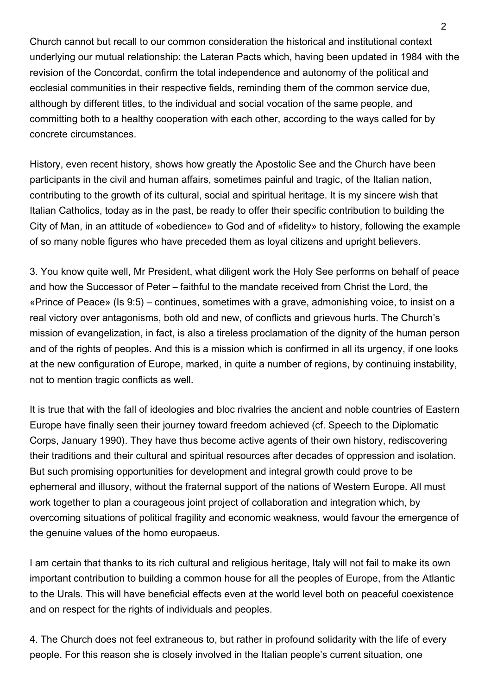Church cannot but recall to our common consideration the historical and institutional context underlying our mutual relationship: the Lateran Pacts which, having been updated in 1984 with the revision of the Concordat, confirm the total independence and autonomy of the political and ecclesial communities in their respective fields, reminding them of the common service due, although by different titles, to the individual and social vocation of the same people, and committing both to a healthy cooperation with each other, according to the ways called for by concrete circumstances.

History, even recent history, shows how greatly the Apostolic See and the Church have been participants in the civil and human affairs, sometimes painful and tragic, of the Italian nation, contributing to the growth of its cultural, social and spiritual heritage. It is my sincere wish that Italian Catholics, today as in the past, be ready to offer their specific contribution to building the City of Man, in an attitude of «obedience» to God and of «fidelity» to history, following the example of so many noble figures who have preceded them as loyal citizens and upright believers.

3. You know quite well, Mr President, what diligent work the Holy See performs on behalf of peace and how the Successor of Peter – faithful to the mandate received from Christ the Lord, the «Prince of Peace» (Is 9:5) – continues, sometimes with a grave, admonishing voice, to insist on a real victory over antagonisms, both old and new, of conflicts and grievous hurts. The Church's mission of evangelization, in fact, is also a tireless proclamation of the dignity of the human person and of the rights of peoples. And this is a mission which is confirmed in all its urgency, if one looks at the new configuration of Europe, marked, in quite a number of regions, by continuing instability, not to mention tragic conflicts as well.

It is true that with the fall of ideologies and bloc rivalries the ancient and noble countries of Eastern Europe have finally seen their journey toward freedom achieved (cf. Speech to the Diplomatic Corps, January 1990). They have thus become active agents of their own history, rediscovering their traditions and their cultural and spiritual resources after decades of oppression and isolation. But such promising opportunities for development and integral growth could prove to be ephemeral and illusory, without the fraternal support of the nations of Western Europe. All must work together to plan a courageous joint project of collaboration and integration which, by overcoming situations of political fragility and economic weakness, would favour the emergence of the genuine values of the homo europaeus.

I am certain that thanks to its rich cultural and religious heritage, Italy will not fail to make its own important contribution to building a common house for all the peoples of Europe, from the Atlantic to the Urals. This will have beneficial effects even at the world level both on peaceful coexistence and on respect for the rights of individuals and peoples.

4. The Church does not feel extraneous to, but rather in profound solidarity with the life of every people. For this reason she is closely involved in the Italian people's current situation, one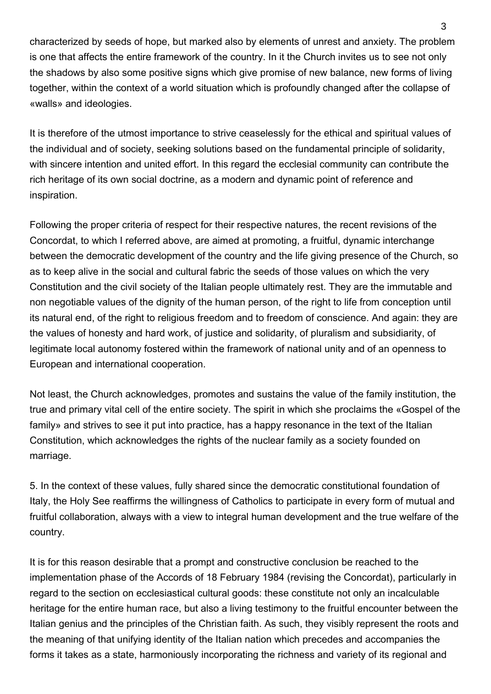characterized by seeds of hope, but marked also by elements of unrest and anxiety. The problem is one that affects the entire framework of the country. In it the Church invites us to see not only the shadows by also some positive signs which give promise of new balance, new forms of living together, within the context of a world situation which is profoundly changed after the collapse of «walls» and ideologies.

It is therefore of the utmost importance to strive ceaselessly for the ethical and spiritual values of the individual and of society, seeking solutions based on the fundamental principle of solidarity, with sincere intention and united effort. In this regard the ecclesial community can contribute the rich heritage of its own social doctrine, as a modern and dynamic point of reference and inspiration.

Following the proper criteria of respect for their respective natures, the recent revisions of the Concordat, to which I referred above, are aimed at promoting, a fruitful, dynamic interchange between the democratic development of the country and the life giving presence of the Church, so as to keep alive in the social and cultural fabric the seeds of those values on which the very Constitution and the civil society of the Italian people ultimately rest. They are the immutable and non negotiable values of the dignity of the human person, of the right to life from conception until its natural end, of the right to religious freedom and to freedom of conscience. And again: they are the values of honesty and hard work, of justice and solidarity, of pluralism and subsidiarity, of legitimate local autonomy fostered within the framework of national unity and of an openness to European and international cooperation.

Not least, the Church acknowledges, promotes and sustains the value of the family institution, the true and primary vital cell of the entire society. The spirit in which she proclaims the «Gospel of the family» and strives to see it put into practice, has a happy resonance in the text of the Italian Constitution, which acknowledges the rights of the nuclear family as a society founded on marriage.

5. In the context of these values, fully shared since the democratic constitutional foundation of Italy, the Holy See reaffirms the willingness of Catholics to participate in every form of mutual and fruitful collaboration, always with a view to integral human development and the true welfare of the country.

It is for this reason desirable that a prompt and constructive conclusion be reached to the implementation phase of the Accords of 18 February 1984 (revising the Concordat), particularly in regard to the section on ecclesiastical cultural goods: these constitute not only an incalculable heritage for the entire human race, but also a living testimony to the fruitful encounter between the Italian genius and the principles of the Christian faith. As such, they visibly represent the roots and the meaning of that unifying identity of the Italian nation which precedes and accompanies the forms it takes as a state, harmoniously incorporating the richness and variety of its regional and